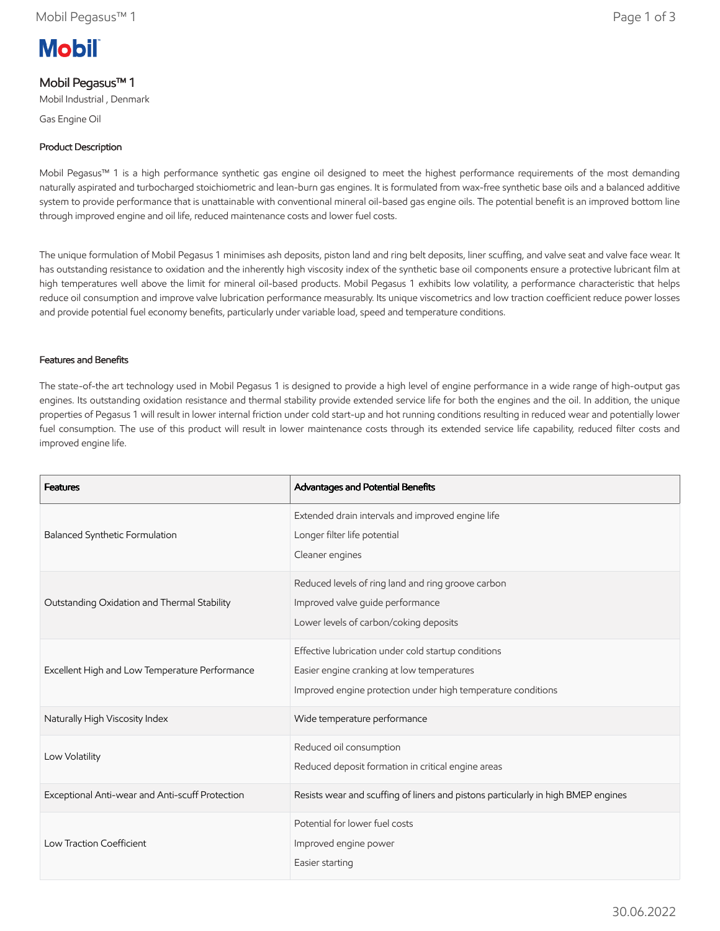# **Mobil**

## Mobil Pegasus™ 1

Mobil Industrial , Denmark

Gas Engine Oil

## Product Description

Mobil Pegasus™ 1 is a high performance synthetic gas engine oil designed to meet the highest performance requirements of the most demanding naturally aspirated and turbocharged stoichiometric and lean-burn gas engines. It is formulated from wax-free synthetic base oils and a balanced additive system to provide performance that is unattainable with conventional mineral oil-based gas engine oils. The potential benefit is an improved bottom line through improved engine and oil life, reduced maintenance costs and lower fuel costs.

The unique formulation of Mobil Pegasus 1 minimises ash deposits, piston land and ring belt deposits, liner scuffing, and valve seat and valve face wear. It has outstanding resistance to oxidation and the inherently high viscosity index of the synthetic base oil components ensure a protective lubricant film at high temperatures well above the limit for mineral oil-based products. Mobil Pegasus 1 exhibits low volatility, a performance characteristic that helps reduce oil consumption and improve valve lubrication performance measurably. Its unique viscometrics and low traction coefficient reduce power losses and provide potential fuel economy benefits, particularly under variable load, speed and temperature conditions.

## Features and Benefits

The state-of-the art technology used in Mobil Pegasus 1 is designed to provide a high level of engine performance in a wide range of high-output gas engines. Its outstanding oxidation resistance and thermal stability provide extended service life for both the engines and the oil. In addition, the unique properties of Pegasus 1 will result in lower internal friction under cold start-up and hot running conditions resulting in reduced wear and potentially lower fuel consumption. The use of this product will result in lower maintenance costs through its extended service life capability, reduced filter costs and improved engine life.

| <b>Features</b>                                 | Advantages and Potential Benefits                                                                                                                                 |
|-------------------------------------------------|-------------------------------------------------------------------------------------------------------------------------------------------------------------------|
| Balanced Synthetic Formulation                  | Extended drain intervals and improved engine life<br>Longer filter life potential<br>Cleaner engines                                                              |
| Outstanding Oxidation and Thermal Stability     | Reduced levels of ring land and ring groove carbon<br>Improved valve guide performance<br>Lower levels of carbon/coking deposits                                  |
| Excellent High and Low Temperature Performance  | Effective lubrication under cold startup conditions<br>Easier engine cranking at low temperatures<br>Improved engine protection under high temperature conditions |
| Naturally High Viscosity Index                  | Wide temperature performance                                                                                                                                      |
| Low Volatility                                  | Reduced oil consumption<br>Reduced deposit formation in critical engine areas                                                                                     |
| Exceptional Anti-wear and Anti-scuff Protection | Resists wear and scuffing of liners and pistons particularly in high BMEP engines                                                                                 |
| Low Traction Coefficient                        | Potential for lower fuel costs<br>Improved engine power<br>Easier starting                                                                                        |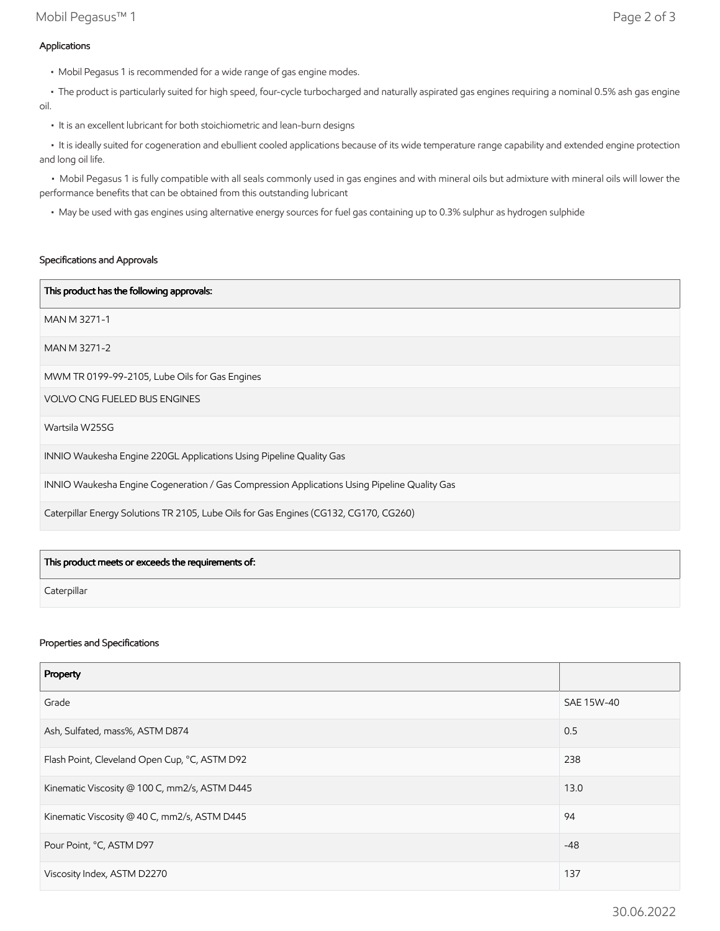• The product is particularly suited for high speed, four-cycle turbocharged and naturally aspirated gas engines requiring a nominal 0.5% ash gas engine oil.

• It is an excellent lubricant for both stoichiometric and lean-burn designs

 • It is ideally suited for cogeneration and ebullient cooled applications because of its wide temperature range capability and extended engine protection and long oil life.

 • Mobil Pegasus 1 is fully compatible with all seals commonly used in gas engines and with mineral oils but admixture with mineral oils will lower the performance benefits that can be obtained from this outstanding lubricant

• May be used with gas engines using alternative energy sources for fuel gas containing up to 0.3% sulphur as hydrogen sulphide

#### Specifications and Approvals

| This product has the following approvals:                                                    |
|----------------------------------------------------------------------------------------------|
| MAN M 3271-1                                                                                 |
| MAN M 3271-2                                                                                 |
| MWM TR 0199-99-2105, Lube Oils for Gas Engines                                               |
| <b>VOLVO CNG FUELED BUS ENGINES</b>                                                          |
| Wartsila W25SG                                                                               |
| INNIO Waukesha Engine 220GL Applications Using Pipeline Quality Gas                          |
| INNIO Waukesha Engine Cogeneration / Gas Compression Applications Using Pipeline Quality Gas |
| Caterpillar Energy Solutions TR 2105, Lube Oils for Gas Engines (CG132, CG170, CG260)        |

| This product meets or exceeds the requirements of: |  |
|----------------------------------------------------|--|
| Caterpillar                                        |  |

#### Properties and Specifications

| Property                                      |            |
|-----------------------------------------------|------------|
| Grade                                         | SAE 15W-40 |
| Ash, Sulfated, mass%, ASTM D874               | 0.5        |
| Flash Point, Cleveland Open Cup, °C, ASTM D92 | 238        |
| Kinematic Viscosity @ 100 C, mm2/s, ASTM D445 | 13.0       |
| Kinematic Viscosity @ 40 C, mm2/s, ASTM D445  | 94         |
| Pour Point, °C, ASTM D97                      | -48        |
| Viscosity Index, ASTM D2270                   | 137        |